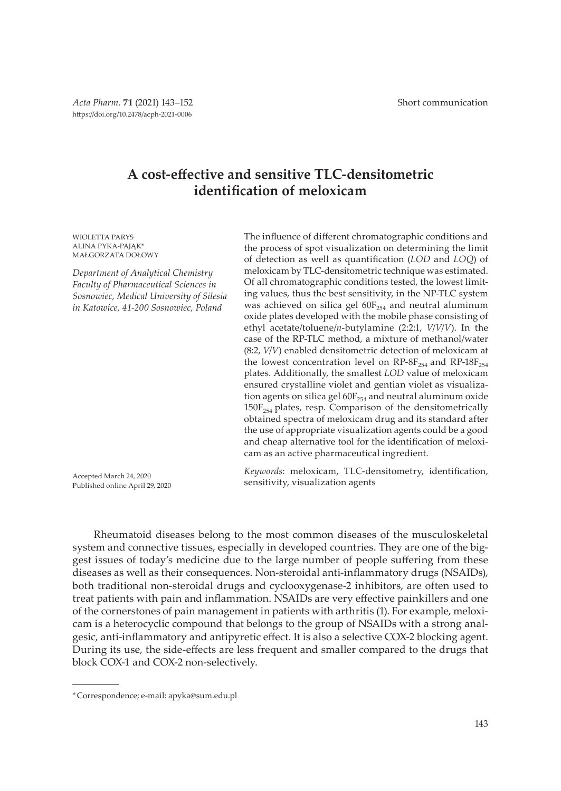# **A cost-effective and sensitive TLC-densitometric identification of meloxicam**

WIOLETTA PARYS ALINA PYKA-PAJAK\* MAŁGORZATA DOŁOWY

*Department of Analytical Chemistry Faculty of Pharmaceutical Sciences in Sosnowiec, Medical University of Silesia in Katowice, 41-200 Sosnowiec, Poland*

Accepted March 24, 2020 Published online April 29, 2020

The influence of different chromatographic conditions and the process of spot visualization on determining the limit of detection as well as quantification (*LOD* and *LOQ*) of meloxicam by TLC-densitometric technique was estimated. Of all chromatographic conditions tested, the lowest limiting values, thus the best sensitivity, in the NP-TLC system was achieved on silica gel  $60F_{254}$  and neutral aluminum oxide plates developed with the mobile phase consisting of ethyl acetate/toluene/*n*-butylamine (2:2:1, *V*/*V*/*V*). In the case of the RP-TLC method, a mixture of methanol/water (8:2, *V*/*V*) enabled densitometric detection of meloxicam at the lowest concentration level on  $RP$ - $8F_{254}$  and  $RP$ - $18F_{254}$ plates. Additionally, the smallest *LOD* value of meloxicam ensured crystalline violet and gentian violet as visualization agents on silica gel  $60F_{254}$  and neutral aluminum oxide  $150F_{254}$  plates, resp. Comparison of the densitometrically obtained spectra of meloxicam drug and its standard after the use of appropriate visualization agents could be a good and cheap alternative tool for the identification of meloxicam as an active pharmaceutical ingredient.

*Keywords*: meloxicam, TLC-densitometry, identification, sensitivity, visualization agents

Rheumatoid diseases belong to the most common diseases of the musculoskeletal system and connective tissues, especially in developed countries. They are one of the biggest issues of today's medicine due to the large number of people suffering from these diseases as well as their consequences. Non-steroidal anti-inflammatory drugs (NSAIDs), both traditional non-steroidal drugs and cyclooxygenase-2 inhibitors, are often used to treat patients with pain and inflammation. NSAIDs are very effective painkillers and one of the cornerstones of pain management in patients with arthritis (1). For example, meloxicam is a heterocyclic compound that belongs to the group of NSAIDs with a strong analgesic, anti-inflammatory and antipyretic effect. It is also a selective COX-2 blocking agent. During its use, the side-effects are less frequent and smaller compared to the drugs that block COX-1 and COX-2 non-selectively.

<sup>\*</sup> Correspondence; e-mail: apyka@sum.edu.pl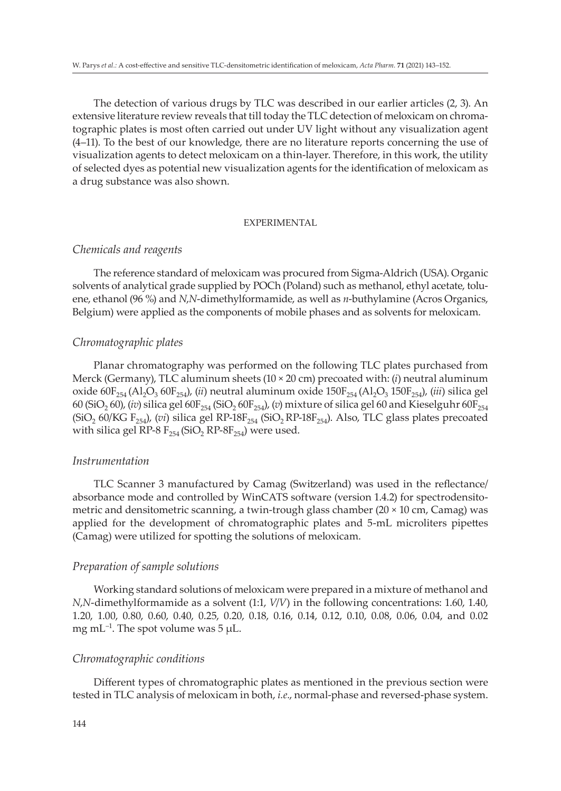The detection of various drugs by TLC was described in our earlier articles (2, 3). An extensive literature review reveals that till today the TLC detection of meloxicam on chromatographic plates is most often carried out under UV light without any visualization agent (4–11). To the best of our knowledge, there are no literature reports concerning the use of visualization agents to detect meloxicam on a thin-layer. Therefore, in this work, the utility of selected dyes as potential new visualization agents for the identification of meloxicam as a drug substance was also shown.

## EXPERIMENTAL

## *Chemicals and reagents*

The reference standard of meloxicam was procured from Sigma-Aldrich (USA). Organic solvents of analytical grade supplied by POCh (Poland) such as methanol, ethyl acetate, toluene, ethanol (96 %) and *N*,*N*-dimethylformamide, as well as *n*-buthylamine (Acros Organics, Belgium) were applied as the components of mobile phases and as solvents for meloxicam.

## *Chromatographic plates*

Planar chromatography was performed on the following TLC plates purchased from Merck (Germany), TLC aluminum sheets (10 × 20 cm) precoated with: (*i*) neutral aluminum oxide  $60F_{254}$  (Al<sub>2</sub>O<sub>3</sub>  $60F_{254}$ ), (*ii*) neutral aluminum oxide  $150F_{254}$  (Al<sub>2</sub>O<sub>3</sub> 150F<sub>254</sub>), (*iii*) silica gel 60 (SiO<sub>2</sub> 60), (*iv*) silica gel 60F<sub>254</sub> (SiO<sub>2</sub> 60F<sub>254</sub>), (*v*) mixture of silica gel 60 and Kieselguhr 60F<sub>254</sub>  $(SiO<sub>2</sub> 60/KG F<sub>254</sub>)$ , (*vi*) silica gel RP-18F<sub>254</sub> (SiO<sub>2</sub> RP-18F<sub>254</sub>). Also, TLC glass plates precoated with silica gel RP-8  $F_{254}$  (SiO<sub>2</sub> RP-8 $F_{254}$ ) were used.

## *Instrumentation*

TLC Scanner 3 manufactured by Camag (Switzerland) was used in the reflectance/ absorbance mode and controlled by WinCATS software (version 1.4.2) for spectrodensitometric and densitometric scanning, a twin-trough glass chamber (20 × 10 cm, Camag) was applied for the development of chromatographic plates and 5-mL microliters pipettes (Camag) were utilized for spotting the solutions of meloxicam.

### *Preparation of sample solutions*

Working standard solutions of meloxicam were prepared in a mixture of methanol and *N*,*N*-dimethylformamide as a solvent (1:1, *V*/*V*) in the following concentrations: 1.60, 1.40, 1.20, 1.00, 0.80, 0.60, 0.40, 0.25, 0.20, 0.18, 0.16, 0.14, 0.12, 0.10, 0.08, 0.06, 0.04, and 0.02 mg mL<sup>-1</sup>. The spot volume was  $5 \mu L$ .

## *Chromatographic conditions*

Different types of chromatographic plates as mentioned in the previous section were tested in TLC analysis of meloxicam in both, *i.e.*, normal-phase and reversed-phase system.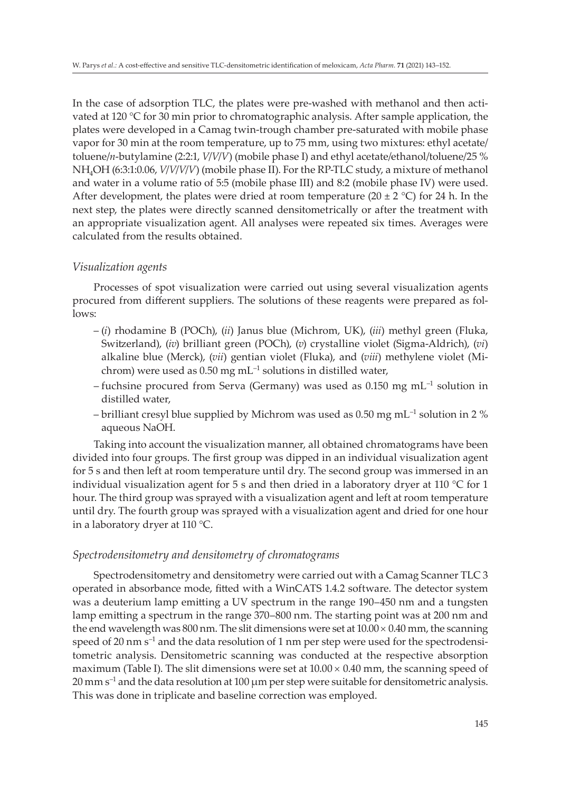In the case of adsorption TLC, the plates were pre-washed with methanol and then activated at 120 °C for 30 min prior to chromatographic analysis. After sample application, the plates were developed in a Camag twin-trough chamber pre-saturated with mobile phase vapor for 30 min at the room temperature, up to 75 mm, using two mixtures: ethyl acetate/ toluene/*n*-butylamine (2:2:1, *V*/*V*/*V*) (mobile phase I) and ethyl acetate/ethanol/toluene/25 % NH4OH (6:3:1:0.06, *V*/*V*/*V*/*V*) (mobile phase II). For the RP-TLC study, a mixture of methanol and water in a volume ratio of 5:5 (mobile phase III) and 8:2 (mobile phase IV) were used. After development, the plates were dried at room temperature (20  $\pm$  2 °C) for 24 h. In the next step, the plates were directly scanned densitometrically or after the treatment with an appropriate visualization agent. All analyses were repeated six times. Averages were calculated from the results obtained.

## *Visualization agents*

Processes of spot visualization were carried out using several visualization agents procured from different suppliers. The solutions of these reagents were prepared as follows:

- (*i*) rhodamine B (POCh), (*ii*) Janus blue (Michrom, UK), (*iii*) methyl green (Fluka, Switzerland), (*iv*) brilliant green (POCh), (*v*) crystalline violet (Sigma-Aldrich), (*vi*) alkaline blue (Merck), (*vii*) gentian violet (Fluka), and (*viii*) methylene violet (Michrom) were used as  $0.50$  mg mL<sup>-1</sup> solutions in distilled water,
- fuchsine procured from Serva (Germany) was used as 0.150 mg  $mL^{-1}$  solution in distilled water,
- brilliant cresyl blue supplied by Michrom was used as 0.50 mg mL<sup>-1</sup> solution in 2 % aqueous NaOH.

Taking into account the visualization manner, all obtained chromatograms have been divided into four groups. The first group was dipped in an individual visualization agent for 5 s and then left at room temperature until dry. The second group was immersed in an individual visualization agent for 5 s and then dried in a laboratory dryer at 110 °C for 1 hour. The third group was sprayed with a visualization agent and left at room temperature until dry. The fourth group was sprayed with a visualization agent and dried for one hour in a laboratory dryer at 110 °C.

# *Spectrodensitometry and densitometry of chromatograms*

Spectrodensitometry and densitometry were carried out with a Camag Scanner TLC 3 operated in absorbance mode, fitted with a WinCATS 1.4.2 software. The detector system was a deuterium lamp emitting a UV spectrum in the range 190–450 nm and a tungsten lamp emitting a spectrum in the range 370–800 nm. The starting point was at 200 nm and the end wavelength was 800 nm. The slit dimensions were set at  $10.00 \times 0.40$  mm, the scanning speed of 20 nm  $s^{-1}$  and the data resolution of 1 nm per step were used for the spectrodensitometric analysis. Densitometric scanning was conducted at the respective absorption maximum (Table I). The slit dimensions were set at  $10.00 \times 0.40$  mm, the scanning speed of  $20$  mm s<sup>-1</sup> and the data resolution at 100  $\mu$ m per step were suitable for densitometric analysis. This was done in triplicate and baseline correction was employed.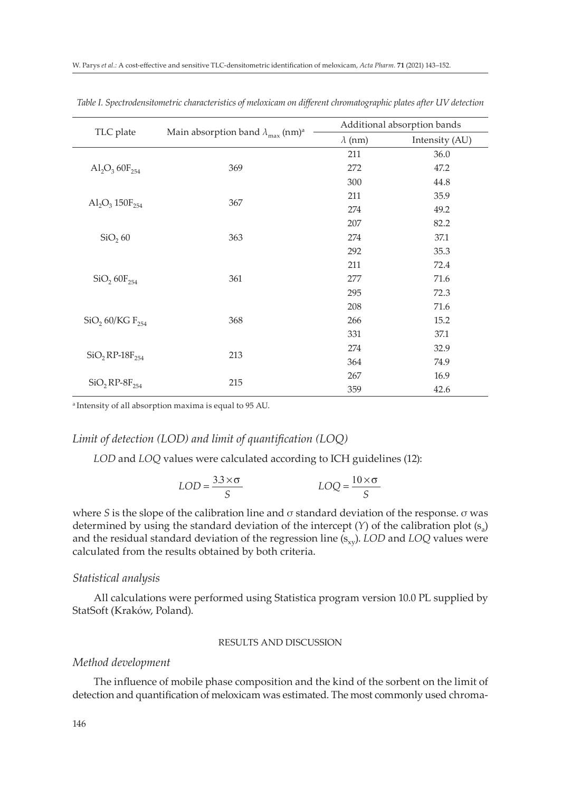|                                             |                                                               | Additional absorption bands |                |  |
|---------------------------------------------|---------------------------------------------------------------|-----------------------------|----------------|--|
| TLC plate                                   | Main absorption band $\lambda_{\text{max}}$ (nm) <sup>a</sup> | $\lambda$ (nm)              | Intensity (AU) |  |
| $\text{Al}_2\text{O}_3$ 60 $\text{F}_{254}$ | 369                                                           | 211                         | 36.0           |  |
|                                             |                                                               | 272                         | 47.2           |  |
|                                             |                                                               | 300                         | 44.8           |  |
| $Al_2O_3 150F_{254}$                        |                                                               | 211                         | 35.9           |  |
|                                             | 367                                                           | 274                         | 49.2           |  |
| SiO <sub>2</sub> 60                         |                                                               | 207                         | 82.2           |  |
|                                             | 363                                                           | 274                         | 37.1           |  |
|                                             |                                                               | 292                         | 35.3           |  |
| SiO <sub>2</sub> 60F <sub>254</sub>         | 361                                                           | 211                         | 72.4           |  |
|                                             |                                                               | 277                         | 71.6           |  |
|                                             |                                                               | 295                         | 72.3           |  |
| SiO <sub>2</sub> 60/KG F <sub>254</sub>     | 368                                                           | 208                         | 71.6           |  |
|                                             |                                                               | 266                         | 15.2           |  |
|                                             |                                                               | 331                         | 37.1           |  |
| $SiO, RP-18F_{254}$                         | 213                                                           | 274                         | 32.9           |  |
|                                             |                                                               | 364                         | 74.9           |  |
| $SiO_2RP-8F_{254}$                          | 215                                                           | 267                         | 16.9           |  |
|                                             |                                                               | 359                         | 42.6           |  |

*Table I. Spectrodensitometric characteristics of meloxicam on different chromatographic plates after UV detection*

a Intensity of all absorption maxima is equal to 95 AU.

## *Limit of detection (LOD) and limit of quantification (LOQ)*

*LOD* and *LOQ* values were calculated according to ICH guidelines (12):

$$
LOD = \frac{3.3 \times \sigma}{S}
$$
 
$$
LOQ = \frac{10 \times \sigma}{S}
$$

where *S* is the slope of the calibration line and σ standard deviation of the response. σ was determined by using the standard deviation of the intercept  $(Y)$  of the calibration plot  $(s_3)$ and the residual standard deviation of the regression line (s<sub>xy</sub>). *LOD* and *LOQ* values were calculated from the results obtained by both criteria.

#### *Statistical analysis*

All calculations were performed using Statistica program version 10.0 PL supplied by StatSoft (Kraków, Poland).

## RESULTS AND DISCUSSION

## *Method development*

The influence of mobile phase composition and the kind of the sorbent on the limit of detection and quantification of meloxicam was estimated. The most commonly used chroma-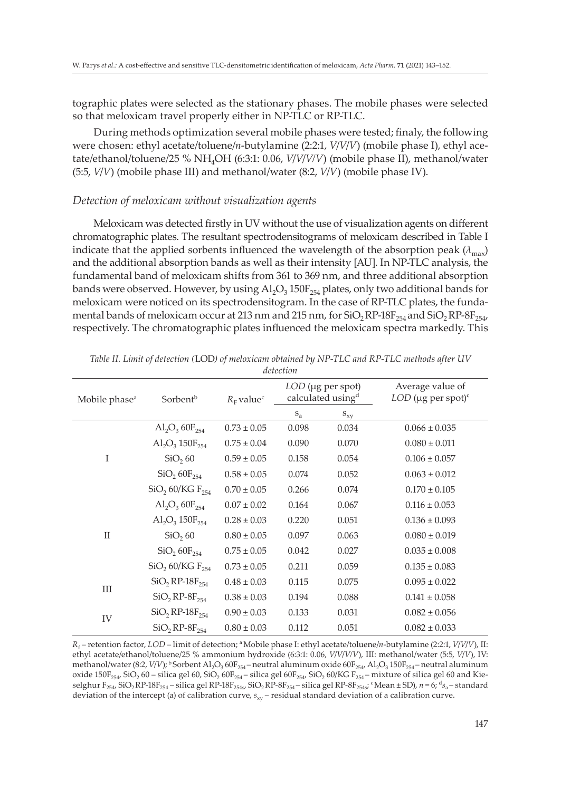tographic plates were selected as the stationary phases. The mobile phases were selected so that meloxicam travel properly either in NP-TLC or RP-TLC.

During methods optimization several mobile phases were tested; finaly, the following were chosen: ethyl acetate/toluene/*n*-butylamine (2:2:1, *V*/*V*/*V*) (mobile phase I), ethyl acetate/ethanol/toluene/25 % NH4OH (6:3:1: 0.06, *V*/*V*/*V/V*) (mobile phase II), methanol/water (5:5, *V*/*V*) (mobile phase III) and methanol/water (8:2, *V*/*V*) (mobile phase IV).

## *Detection of meloxicam without visualization agents*

Meloxicam was detected firstly in UV without the use of visualization agents on different chromatographic plates. The resultant spectrodensitograms of meloxicam described in Table I indicate that the applied sorbents influenced the wavelength of the absorption peak  $(\lambda_{\text{max}})$ and the additional absorption bands as well as their intensity [AU]. In NP-TLC analysis, the fundamental band of meloxicam shifts from 361 to 369 nm, and three additional absorption bands were observed. However, by using  $AI_2O_3$  150F<sub>254</sub> plates, only two additional bands for meloxicam were noticed on its spectrodensitogram. In the case of RP-TLC plates, the fundamental bands of meloxicam occur at 213 nm and 215 nm, for  $SiO_2$ RP-18 $F_{254}$  and  $SiO_2$ RP-8 $F_{254}$ respectively. The chromatographic plates influenced the meloxicam spectra markedly. This

| Mobile phase <sup>a</sup> | Sorbent <sup>b</sup>                                 | $R_{\rm F}$ value <sup>c</sup> | LOD (µg per spot)<br>calculated using <sup>d</sup> |          | Average value of<br>$LOD$ (µg per spot) <sup>c</sup> |
|---------------------------|------------------------------------------------------|--------------------------------|----------------------------------------------------|----------|------------------------------------------------------|
|                           |                                                      |                                | $S_{a}$                                            | $S_{XY}$ |                                                      |
|                           | $\text{Al}_2\text{O}_3 60\text{F}_{254}$             | $0.73 \pm 0.05$                | 0.098                                              | 0.034    | $0.066 \pm 0.035$                                    |
|                           | $\text{Al}_2\text{O}_3$ 150 $\text{F}_{254}$         | $0.75 \pm 0.04$                | 0.090                                              | 0.070    | $0.080 \pm 0.011$                                    |
| T                         | SiO <sub>2</sub> 60                                  | $0.59 \pm 0.05$                | 0.158                                              | 0.054    | $0.106 \pm 0.057$                                    |
|                           | SiO <sub>2</sub> 60F <sub>254</sub>                  | $0.58 \pm 0.05$                | 0.074                                              | 0.052    | $0.063 \pm 0.012$                                    |
|                           | $SiO$ , $60/KG$ $F_{254}$                            | $0.70 \pm 0.05$                | 0.266                                              | 0.074    | $0.170 \pm 0.105$                                    |
| $\mathbf{H}$              | $\text{Al}_2\text{O}_3 60\text{F}_{254}$             | $0.07 \pm 0.02$                | 0.164                                              | 0.067    | $0.116 \pm 0.053$                                    |
|                           | $\text{Al}_2\text{O}_3 150\text{F}_{254}$            | $0.28 \pm 0.03$                | 0.220                                              | 0.051    | $0.136 \pm 0.093$                                    |
|                           | SiO <sub>2</sub> 60                                  | $0.80 \pm 0.05$                | 0.097                                              | 0.063    | $0.080 \pm 0.019$                                    |
|                           | SiO <sub>2</sub> 60F <sub>254</sub>                  | $0.75 \pm 0.05$                | 0.042                                              | 0.027    | $0.035 \pm 0.008$                                    |
|                           | $SiO$ , 60/KG $F_{254}$                              | $0.73 \pm 0.05$                | 0.211                                              | 0.059    | $0.135 \pm 0.083$                                    |
| Ш                         | $SiO, RP-18F_{254}$                                  | $0.48 \pm 0.03$                | 0.115                                              | 0.075    | $0.095 \pm 0.022$                                    |
|                           | $SiO_2RP-8F_{254}$                                   | $0.38 \pm 0.03$                | 0.194                                              | 0.088    | $0.141 \pm 0.058$                                    |
| IV                        | $SiO$ , RP-18 $F$ <sub>254</sub>                     | $0.90 \pm 0.03$                | 0.133                                              | 0.031    | $0.082 \pm 0.056$                                    |
|                           | $SiO$ <sub>2</sub> RP- $8F_{254}$<br>$0.80 \pm 0.03$ |                                | 0.112                                              | 0.051    | $0.082 \pm 0.033$                                    |

*Table II. Limit of detection (*LOD*) of meloxicam obtained by NP-TLC and RP-TLC methods after UV detection*

 $R_f$  – retention factor, *LOD* – limit of detection; <sup>a</sup> Mobile phase I: ethyl acetate/toluene/*n*-butylamine (2:2:1, *V/V/V*), II: ethyl acetate/ethanol/toluene/25 % ammonium hydroxide (6:3:1: 0.06, *V*/*V*/*V/V*), III: methanol/water (5:5, *V*/*V*), IV: methanol/water (8:2, *V*/*V*); <sup>b</sup> Sorbent Al<sub>2</sub>O<sub>3</sub> 60F<sub>254</sub> – neutral aluminum oxide 60F<sub>254</sub>/Al<sub>2</sub>O<sub>3</sub> 150F<sub>254</sub> – neutral aluminum oxide 150F<sub>254</sub>, SiO<sub>2</sub> 60 – silica gel 60, SiO<sub>2</sub> 60F<sub>254</sub> – silica gel 60F<sub>254</sub>, SiO<sub>2</sub> 60/KG F<sub>254</sub> – mixture of silica gel 60 and Kieselghur F254, SiO2 RP-18F254 – silica gel RP-18F254s, SiO2 RP-8F254 – silica gel RP-8F254s; <sup>c</sup>Mean ± SD), *n* = 6; d*s*a – standard deviation of the intercept (a) of calibration curve,  $s_{xy}$  – residual standard deviation of a calibration curve.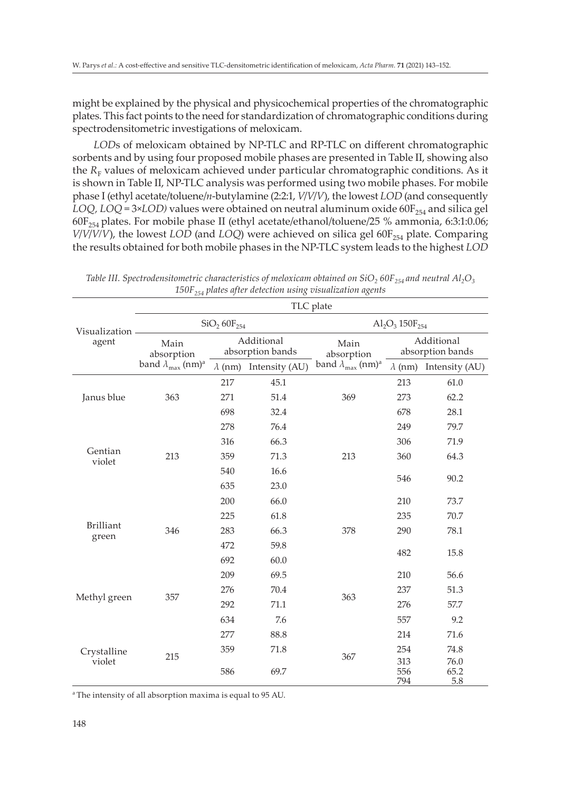might be explained by the physical and physicochemical properties of the chromatographic plates. This fact points to the need for standardization of chromatographic conditions during spectrodensitometric investigations of meloxicam.

*LOD*s of meloxicam obtained by NP-TLC and RP-TLC on different chromatographic sorbents and by using four proposed mobile phases are presented in Table II, showing also the  $R_F$  values of meloxicam achieved under particular chromatographic conditions. As it is shown in Table II, NP-TLC analysis was performed using two mobile phases. For mobile phase I (ethyl acetate/toluene/*n*-butylamine (2:2:1, *V*/*V*/*V*), the lowest *LOD* (and consequently *LOQ, LOQ* = 3×*LOD*) values were obtained on neutral aluminum oxide  $60F_{254}$  and silica gel 60F<sup>254</sup> plates. For mobile phase II (ethyl acetate/ethanol/toluene/25 % ammonia, 6:3:1:0.06; *V*/*V*/*V*/*V*), the lowest *LOD* (and *LOQ*) were achieved on silica gel 60F<sub>254</sub> plate. Comparing the results obtained for both mobile phases in the NP-TLC system leads to the highest *LOD*

|                           | TLC plate                                                     |                                |                               |                                         |                                |                               |
|---------------------------|---------------------------------------------------------------|--------------------------------|-------------------------------|-----------------------------------------|--------------------------------|-------------------------------|
| Visualization -<br>agent  | SiO <sub>2</sub> 60F <sub>254</sub>                           |                                |                               | $Al_2O_3 150F_{254}$                    |                                |                               |
|                           | Main<br>absorption<br>band $\lambda_{\max}$ (nm) <sup>a</sup> | Additional<br>absorption bands |                               | Main<br>absorption                      | Additional<br>absorption bands |                               |
|                           |                                                               |                                | $\lambda$ (nm) Intensity (AU) | band $\lambda_{\max}$ (nm) <sup>a</sup> |                                | $\lambda$ (nm) Intensity (AU) |
| Janus blue                | 363                                                           | 217                            | 45.1                          | 369                                     | 213                            | 61.0                          |
|                           |                                                               | 271                            | 51.4                          |                                         | 273                            | 62.2                          |
|                           |                                                               | 698                            | 32.4                          |                                         | 678                            | 28.1                          |
| Gentian<br>violet         |                                                               | 278                            | 76.4                          | 213                                     | 249                            | 79.7                          |
|                           |                                                               | 316                            | 66.3                          |                                         | 306                            | 71.9                          |
|                           | 213                                                           | 359                            | 71.3                          |                                         | 360                            | 64.3                          |
|                           |                                                               | 540                            | 16.6                          |                                         | 546                            | 90.2                          |
|                           |                                                               | 635                            | 23.0                          |                                         |                                |                               |
| <b>Brilliant</b><br>green | 346                                                           | 200                            | 66.0                          | 378                                     | 210                            | 73.7                          |
|                           |                                                               | 225                            | 61.8                          |                                         | 235                            | 70.7                          |
|                           |                                                               | 283                            | 66.3                          |                                         | 290                            | 78.1                          |
|                           |                                                               | 472                            | 59.8                          |                                         | 482                            | 15.8                          |
|                           |                                                               | 692                            | 60.0                          |                                         |                                |                               |
| Methyl green              | 357                                                           | 209                            | 69.5                          | 363                                     | 210                            | 56.6                          |
|                           |                                                               | 276                            | 70.4                          |                                         | 237                            | 51.3                          |
|                           |                                                               | 292                            | 71.1                          |                                         | 276                            | 57.7                          |
|                           |                                                               | 634                            | 7.6                           |                                         | 557                            | 9.2                           |
| Crystalline<br>violet     | 215                                                           | 277                            | 88.8                          | 367                                     | 214                            | 71.6                          |
|                           |                                                               | 359                            | 71.8                          |                                         | 254                            | 74.8                          |
|                           |                                                               | 586                            | 69.7                          |                                         | 313<br>556<br>794              | 76.0<br>65.2<br>5.8           |

*Table III. Spectrodensitometric characteristics of meloxicam obtained on SiO<sub>2</sub> 60F<sub>254</sub> and neutral Al<sub>2</sub>O<sub>3</sub>* 150F<sub>254</sub> plates after detection using visualization agents

a The intensity of all absorption maxima is equal to 95 AU.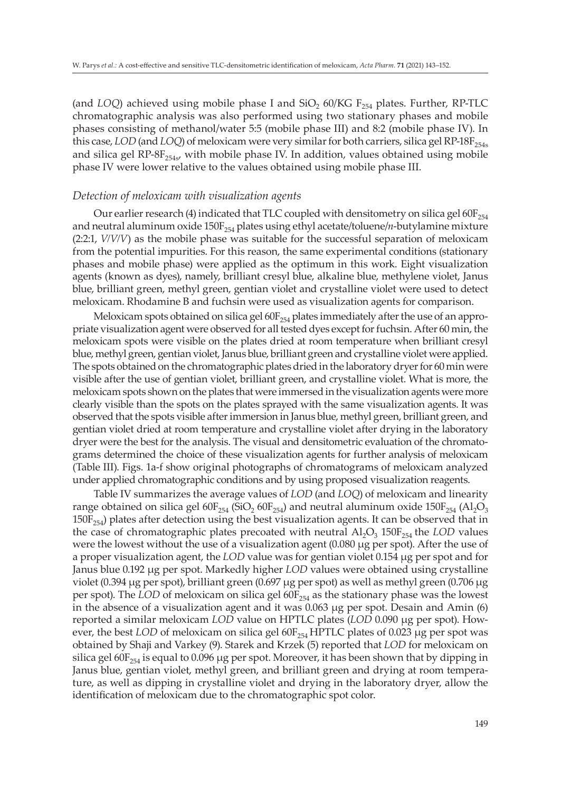(and *LOQ*) achieved using mobile phase I and  $SiO<sub>2</sub> 60/KG F<sub>254</sub>$  plates. Further, RP-TLC chromatographic analysis was also performed using two stationary phases and mobile phases consisting of methanol/water 5:5 (mobile phase III) and 8:2 (mobile phase IV). In this case, *LOD* (and *LOQ*) of meloxicam were very similar for both carriers, silica gel RP-18 $F_{254s}$ and silica gel  $RP-8F_{254st}$ , with mobile phase IV. In addition, values obtained using mobile phase IV were lower relative to the values obtained using mobile phase III.

## *Detection of meloxicam with visualization agents*

Our earlier research (4) indicated that TLC coupled with densitometry on silica gel 60 $F_{254}$ and neutral aluminum oxide 150F<sub>254</sub> plates using ethyl acetate/toluene/*n*-butylamine mixture (2:2:1, *V/V/V*) as the mobile phase was suitable for the successful separation of meloxicam from the potential impurities. For this reason, the same experimental conditions (stationary phases and mobile phase) were applied as the optimum in this work. Eight visualization agents (known as dyes), namely, brilliant cresyl blue, alkaline blue, methylene violet, Janus blue, brilliant green, methyl green, gentian violet and crystalline violet were used to detect meloxicam. Rhodamine B and fuchsin were used as visualization agents for comparison.

Meloxicam spots obtained on silica gel  $60F_{254}$  plates immediately after the use of an appropriate visualization agent were observed for all tested dyes except for fuchsin. After 60 min, the meloxicam spots were visible on the plates dried at room temperature when brilliant cresyl blue, methyl green, gentian violet, Janus blue, brilliant green and crystalline violet were applied. The spots obtained on the chromatographic plates dried in the laboratory dryer for 60 min were visible after the use of gentian violet, brilliant green, and crystalline violet. What is more, the meloxicam spots shown on the plates that were immersed in the visualization agents were more clearly visible than the spots on the plates sprayed with the same visualization agents. It was observed that the spots visible after immersion in Janus blue, methyl green, brilliant green, and gentian violet dried at room temperature and crystalline violet after drying in the laboratory dryer were the best for the analysis. The visual and densitometric evaluation of the chromatograms determined the choice of these visualization agents for further analysis of meloxicam (Table III). Figs. 1a-f show original photographs of chromatograms of meloxicam analyzed under applied chromatographic conditions and by using proposed visualization reagents.

Table IV summarizes the average values of *LOD* (and *LOQ*) of meloxicam and linearity range obtained on silica gel 60F<sub>254</sub> (SiO<sub>2</sub> 60F<sub>254</sub>) and neutral aluminum oxide 150F<sub>254</sub> (Al<sub>2</sub>O<sub>3</sub>  $150F_{254}$ ) plates after detection using the best visualization agents. It can be observed that in the case of chromatographic plates precoated with neutral  $Al_2O_3$  150F<sub>254</sub> the *LOD* values were the lowest without the use of a visualization agent (0.080 μg per spot). After the use of a proper visualization agent, the *LOD* value was for gentian violet 0.154 μg per spot and for Janus blue 0.192 μg per spot. Markedly higher *LOD* values were obtained using crystalline violet (0.394 μg per spot), brilliant green (0.697 μg per spot) as well as methyl green (0.706 μg per spot). The *LOD* of meloxicam on silica gel 60F<sub>254</sub> as the stationary phase was the lowest in the absence of a visualization agent and it was 0.063 μg per spot. Desain and Amin (6) reported a similar meloxicam *LOD* value on HPTLC plates (*LOD* 0.090 μg per spot). However, the best *LOD* of meloxicam on silica gel 60F<sub>254</sub> HPTLC plates of 0.023 μg per spot was obtained by Shaji and Varkey (9). Starek and Krzek (5) reported that *LOD* for meloxicam on silica gel  $60F_{254}$  is equal to 0.096 µg per spot. Moreover, it has been shown that by dipping in Janus blue, gentian violet, methyl green, and brilliant green and drying at room temperature, as well as dipping in crystalline violet and drying in the laboratory dryer, allow the identification of meloxicam due to the chromatographic spot color.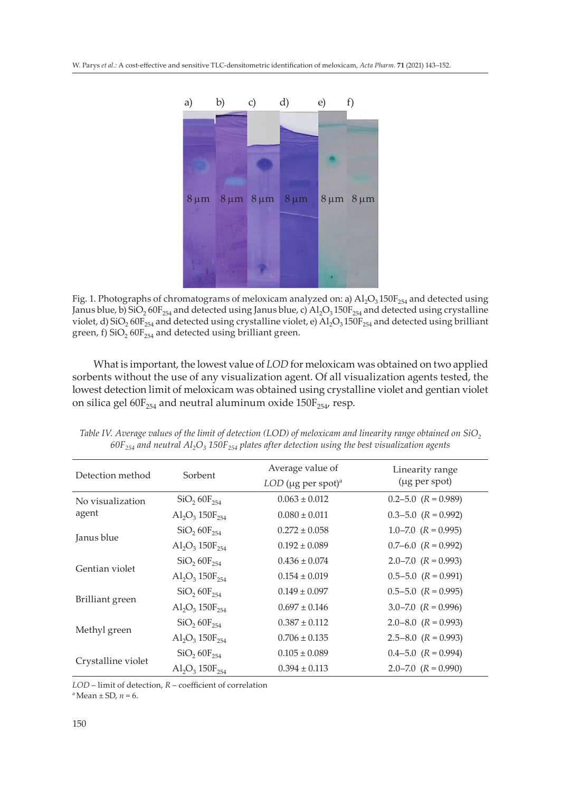

Fig. 1. Photographs of chromatograms of meloxicam analyzed on: a)  $A I_2 O_3 150F_{254}$  and detected using Janus blue, b) SiO<sub>2</sub> 60F<sub>254</sub> and detected using Janus blue, c) Al<sub>2</sub>O<sub>3</sub> 150F<sub>254</sub> and detected using crystalline violet, d) SiO<sub>2</sub> 60F<sub>254</sub> and detected using crystalline violet, e)  $\overrightarrow{Al_2O_3}$  150F<sub>254</sub> and detected using brilliant green, f)  $SiO<sub>2</sub> 60F<sub>254</sub>$  and detected using brilliant green.

What is important, the lowest value of *LOD* for meloxicam was obtained on two applied sorbents without the use of any visualization agent. Of all visualization agents tested, the lowest detection limit of meloxicam was obtained using crystalline violet and gentian violet on silica gel  $60F_{254}$  and neutral aluminum oxide  $150F_{254}$ , resp.

| Detection method          | Sorbent                                      | Average value of<br>$LOD$ (µg per spot) <sup>a</sup> | Linearity range<br>(µg per spot) |
|---------------------------|----------------------------------------------|------------------------------------------------------|----------------------------------|
| No visualization<br>agent | SiO <sub>2</sub> 60F <sub>254</sub>          | $0.063 \pm 0.012$                                    | $0.2 - 5.0$ $(R = 0.989)$        |
|                           | $\text{Al}_2\text{O}_3 150\text{F}_{254}$    | $0.080 \pm 0.011$                                    | $0.3 - 5.0$ $(R = 0.992)$        |
| Janus blue                | $SiO_2$ , $60F_{254}$                        | $0.272 \pm 0.058$                                    | $1.0 - 7.0$ $(R = 0.995)$        |
|                           | $\text{Al}_2\text{O}_3$ 150 $\text{F}_{254}$ | $0.192 \pm 0.089$                                    | $0.7-6.0$ $(R = 0.992)$          |
| Gentian violet            | $SiO, 60F_{254}$                             | $0.436 \pm 0.074$                                    | $2.0 - 7.0$ $(R = 0.993)$        |
|                           | $\text{Al}_2\text{O}_3$ 150 $\text{F}_{254}$ | $0.154 \pm 0.019$                                    | $0.5 - 5.0$ $(R = 0.991)$        |
| Brilliant green           | SiO <sub>2</sub> 60F <sub>254</sub>          | $0.149 \pm 0.097$                                    | $0.5 - 5.0$ $(R = 0.995)$        |
|                           | $\text{Al}_2\text{O}_3$ 150 $\text{F}_{254}$ | $0.697 \pm 0.146$                                    | $3.0 - 7.0$ $(R = 0.996)$        |
| Methyl green              | $SiO, 60F_{254}$                             | $0.387 \pm 0.112$                                    | $2.0 - 8.0$ $(R = 0.993)$        |
|                           | $\text{Al}_2\text{O}_3$ 150 $\text{F}_{254}$ | $0.706 \pm 0.135$                                    | $2.5 - 8.0$ $(R = 0.993)$        |
| Crystalline violet        | $SiO_2 60F_{254}$                            | $0.105 \pm 0.089$                                    | $0.4 - 5.0$ $(R = 0.994)$        |
|                           | $\text{Al}_2\text{O}_3$ 150 $\text{F}_{254}$ | $0.394 \pm 0.113$                                    | $2.0 - 7.0$ $(R = 0.990)$        |

*Table IV. Average values of the limit of detection (LOD) of meloxicam and linearity range obtained on SiO<sub>2</sub>*  $60F_{254}$  and neutral  $Al_2O_3$  150F<sub>254</sub> plates after detection using the best visualization agents

*LOD* – limit of detection, *R* – coefficient of correlation

 $a$  Mean  $\pm$  SD,  $n = 6$ .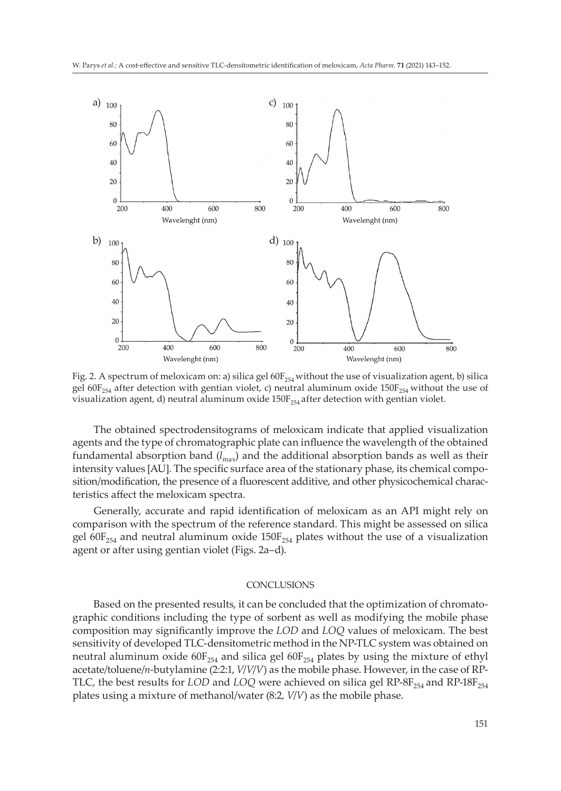

Fig. 2. A spectrum of meloxicam on: a) silica gel  $60F_{254}$  without the use of visualization agent, b) silica gel 60F<sub>254</sub> after detection with gentian violet, c) neutral aluminum oxide 150F<sub>254</sub> without the use of visualization agent, d) neutral aluminum oxide  $150F_{254}$  after detection with gentian violet.

The obtained spectrodensitograms of meloxicam indicate that applied visualization agents and the type of chromatographic plate can influence the wavelength of the obtained fundamental absorption band (*l*max) and the additional absorption bands as well as their intensity values [AU]. The specific surface area of the stationary phase, its chemical composition/modification, the presence of a fluorescent additive, and other physicochemical characteristics affect the meloxicam spectra.

Generally, accurate and rapid identification of meloxicam as an API might rely on comparison with the spectrum of the reference standard. This might be assessed on silica gel 60F<sub>254</sub> and neutral aluminum oxide  $150F_{254}$  plates without the use of a visualization agent or after using gentian violet (Figs. 2a–d).

## **CONCLUSIONS**

Based on the presented results, it can be concluded that the optimization of chromatographic conditions including the type of sorbent as well as modifying the mobile phase composition may significantly improve the *LOD* and *LOQ* values of meloxicam. The best sensitivity of developed TLC-densitometric method in the NP-TLC system was obtained on neutral aluminum oxide  $60F_{254}$  and silica gel  $60F_{254}$  plates by using the mixture of ethyl acetate/toluene/*n*-butylamine (2:2:1, *V*/*V*/*V*) as the mobile phase. However, in the case of RP-TLC, the best results for *LOD* and *LOQ* were achieved on silica gel RP-8F<sub>254</sub> and RP-18F<sub>254</sub> plates using a mixture of methanol/water (8:2, *V*/*V*) as the mobile phase.